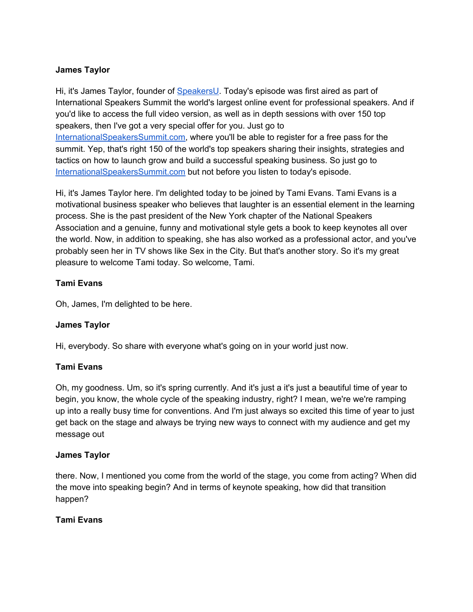# **James Taylor**

Hi, it's James Taylor, founder of [SpeakersU.](https://speakersu.com/) Today's episode was first aired as part of International Speakers Summit the world's largest online event for professional speakers. And if you'd like to access the full video version, as well as in depth sessions with over 150 top speakers, then I've got a very special offer for you. Just go to [InternationalSpeakersSummit.com](http://internationalspeakerssummit.com/), where you'll be able to register for a free pass for the summit. Yep, that's right 150 of the world's top speakers sharing their insights, strategies and tactics on how to launch grow and build a successful speaking business. So just go t[o](http://internationalspeakerssummit.com/) [InternationalSpeakersSummit.com](http://internationalspeakerssummit.com/) but not before you listen to today's episode.

Hi, it's James Taylor here. I'm delighted today to be joined by Tami Evans. Tami Evans is a motivational business speaker who believes that laughter is an essential element in the learning process. She is the past president of the New York chapter of the National Speakers Association and a genuine, funny and motivational style gets a book to keep keynotes all over the world. Now, in addition to speaking, she has also worked as a professional actor, and you've probably seen her in TV shows like Sex in the City. But that's another story. So it's my great pleasure to welcome Tami today. So welcome, Tami.

## **Tami Evans**

Oh, James, I'm delighted to be here.

# **James Taylor**

Hi, everybody. So share with everyone what's going on in your world just now.

### **Tami Evans**

Oh, my goodness. Um, so it's spring currently. And it's just a it's just a beautiful time of year to begin, you know, the whole cycle of the speaking industry, right? I mean, we're we're ramping up into a really busy time for conventions. And I'm just always so excited this time of year to just get back on the stage and always be trying new ways to connect with my audience and get my message out

### **James Taylor**

there. Now, I mentioned you come from the world of the stage, you come from acting? When did the move into speaking begin? And in terms of keynote speaking, how did that transition happen?

### **Tami Evans**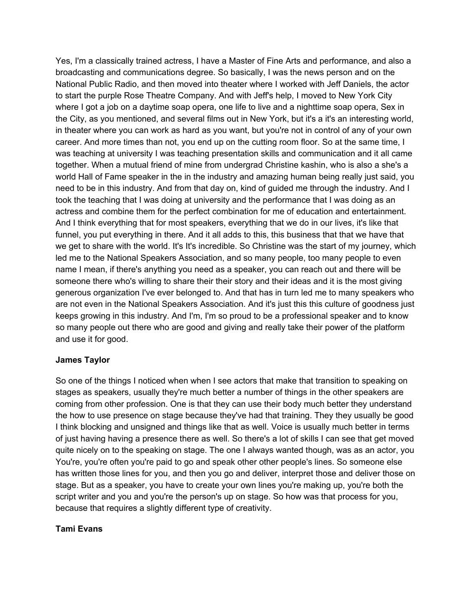Yes, I'm a classically trained actress, I have a Master of Fine Arts and performance, and also a broadcasting and communications degree. So basically, I was the news person and on the National Public Radio, and then moved into theater where I worked with Jeff Daniels, the actor to start the purple Rose Theatre Company. And with Jeff's help, I moved to New York City where I got a job on a daytime soap opera, one life to live and a nighttime soap opera, Sex in the City, as you mentioned, and several films out in New York, but it's a it's an interesting world, in theater where you can work as hard as you want, but you're not in control of any of your own career. And more times than not, you end up on the cutting room floor. So at the same time, I was teaching at university I was teaching presentation skills and communication and it all came together. When a mutual friend of mine from undergrad Christine kashin, who is also a she's a world Hall of Fame speaker in the in the industry and amazing human being really just said, you need to be in this industry. And from that day on, kind of guided me through the industry. And I took the teaching that I was doing at university and the performance that I was doing as an actress and combine them for the perfect combination for me of education and entertainment. And I think everything that for most speakers, everything that we do in our lives, it's like that funnel, you put everything in there. And it all adds to this, this business that that we have that we get to share with the world. It's It's incredible. So Christine was the start of my journey, which led me to the National Speakers Association, and so many people, too many people to even name I mean, if there's anything you need as a speaker, you can reach out and there will be someone there who's willing to share their their story and their ideas and it is the most giving generous organization I've ever belonged to. And that has in turn led me to many speakers who are not even in the National Speakers Association. And it's just this this culture of goodness just keeps growing in this industry. And I'm, I'm so proud to be a professional speaker and to know so many people out there who are good and giving and really take their power of the platform and use it for good.

### **James Taylor**

So one of the things I noticed when when I see actors that make that transition to speaking on stages as speakers, usually they're much better a number of things in the other speakers are coming from other profession. One is that they can use their body much better they understand the how to use presence on stage because they've had that training. They they usually be good I think blocking and unsigned and things like that as well. Voice is usually much better in terms of just having having a presence there as well. So there's a lot of skills I can see that get moved quite nicely on to the speaking on stage. The one I always wanted though, was as an actor, you You're, you're often you're paid to go and speak other other people's lines. So someone else has written those lines for you, and then you go and deliver, interpret those and deliver those on stage. But as a speaker, you have to create your own lines you're making up, you're both the script writer and you and you're the person's up on stage. So how was that process for you, because that requires a slightly different type of creativity.

### **Tami Evans**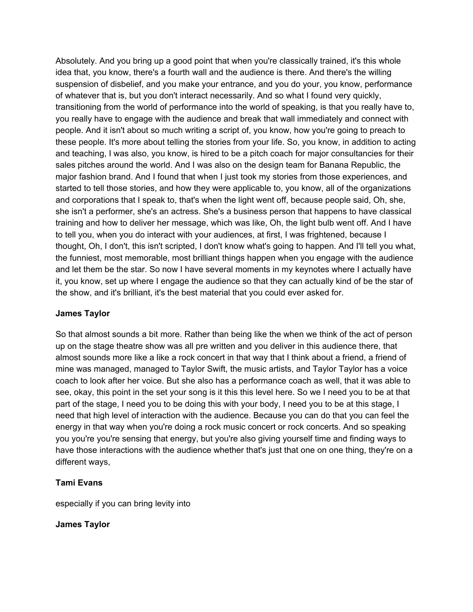Absolutely. And you bring up a good point that when you're classically trained, it's this whole idea that, you know, there's a fourth wall and the audience is there. And there's the willing suspension of disbelief, and you make your entrance, and you do your, you know, performance of whatever that is, but you don't interact necessarily. And so what I found very quickly, transitioning from the world of performance into the world of speaking, is that you really have to, you really have to engage with the audience and break that wall immediately and connect with people. And it isn't about so much writing a script of, you know, how you're going to preach to these people. It's more about telling the stories from your life. So, you know, in addition to acting and teaching, I was also, you know, is hired to be a pitch coach for major consultancies for their sales pitches around the world. And I was also on the design team for Banana Republic, the major fashion brand. And I found that when I just took my stories from those experiences, and started to tell those stories, and how they were applicable to, you know, all of the organizations and corporations that I speak to, that's when the light went off, because people said, Oh, she, she isn't a performer, she's an actress. She's a business person that happens to have classical training and how to deliver her message, which was like, Oh, the light bulb went off. And I have to tell you, when you do interact with your audiences, at first, I was frightened, because I thought, Oh, I don't, this isn't scripted, I don't know what's going to happen. And I'll tell you what, the funniest, most memorable, most brilliant things happen when you engage with the audience and let them be the star. So now I have several moments in my keynotes where I actually have it, you know, set up where I engage the audience so that they can actually kind of be the star of the show, and it's brilliant, it's the best material that you could ever asked for.

### **James Taylor**

So that almost sounds a bit more. Rather than being like the when we think of the act of person up on the stage theatre show was all pre written and you deliver in this audience there, that almost sounds more like a like a rock concert in that way that I think about a friend, a friend of mine was managed, managed to Taylor Swift, the music artists, and Taylor Taylor has a voice coach to look after her voice. But she also has a performance coach as well, that it was able to see, okay, this point in the set your song is it this this level here. So we I need you to be at that part of the stage, I need you to be doing this with your body, I need you to be at this stage, I need that high level of interaction with the audience. Because you can do that you can feel the energy in that way when you're doing a rock music concert or rock concerts. And so speaking you you're you're sensing that energy, but you're also giving yourself time and finding ways to have those interactions with the audience whether that's just that one on one thing, they're on a different ways,

# **Tami Evans**

especially if you can bring levity into

# **James Taylor**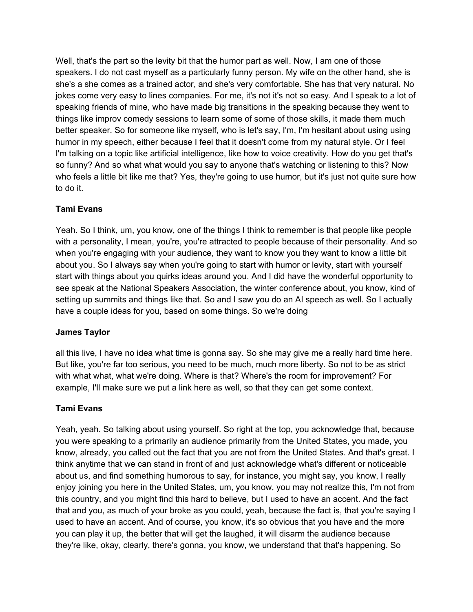Well, that's the part so the levity bit that the humor part as well. Now, I am one of those speakers. I do not cast myself as a particularly funny person. My wife on the other hand, she is she's a she comes as a trained actor, and she's very comfortable. She has that very natural. No jokes come very easy to lines companies. For me, it's not it's not so easy. And I speak to a lot of speaking friends of mine, who have made big transitions in the speaking because they went to things like improv comedy sessions to learn some of some of those skills, it made them much better speaker. So for someone like myself, who is let's say, I'm, I'm hesitant about using using humor in my speech, either because I feel that it doesn't come from my natural style. Or I feel I'm talking on a topic like artificial intelligence, like how to voice creativity. How do you get that's so funny? And so what what would you say to anyone that's watching or listening to this? Now who feels a little bit like me that? Yes, they're going to use humor, but it's just not quite sure how to do it.

# **Tami Evans**

Yeah. So I think, um, you know, one of the things I think to remember is that people like people with a personality, I mean, you're, you're attracted to people because of their personality. And so when you're engaging with your audience, they want to know you they want to know a little bit about you. So I always say when you're going to start with humor or levity, start with yourself start with things about you quirks ideas around you. And I did have the wonderful opportunity to see speak at the National Speakers Association, the winter conference about, you know, kind of setting up summits and things like that. So and I saw you do an AI speech as well. So I actually have a couple ideas for you, based on some things. So we're doing

# **James Taylor**

all this live, I have no idea what time is gonna say. So she may give me a really hard time here. But like, you're far too serious, you need to be much, much more liberty. So not to be as strict with what what, what we're doing. Where is that? Where's the room for improvement? For example, I'll make sure we put a link here as well, so that they can get some context.

# **Tami Evans**

Yeah, yeah. So talking about using yourself. So right at the top, you acknowledge that, because you were speaking to a primarily an audience primarily from the United States, you made, you know, already, you called out the fact that you are not from the United States. And that's great. I think anytime that we can stand in front of and just acknowledge what's different or noticeable about us, and find something humorous to say, for instance, you might say, you know, I really enjoy joining you here in the United States, um, you know, you may not realize this, I'm not from this country, and you might find this hard to believe, but I used to have an accent. And the fact that and you, as much of your broke as you could, yeah, because the fact is, that you're saying I used to have an accent. And of course, you know, it's so obvious that you have and the more you can play it up, the better that will get the laughed, it will disarm the audience because they're like, okay, clearly, there's gonna, you know, we understand that that's happening. So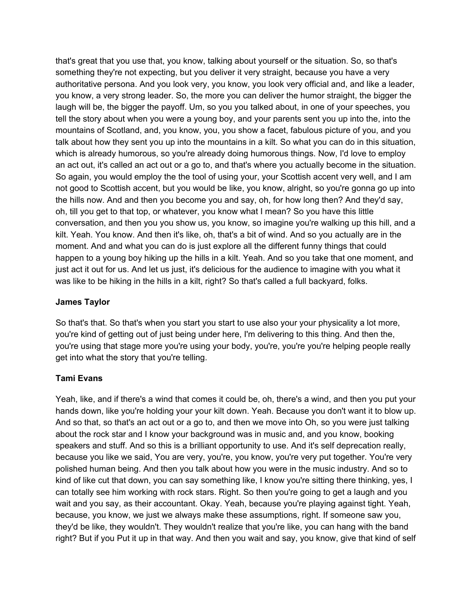that's great that you use that, you know, talking about yourself or the situation. So, so that's something they're not expecting, but you deliver it very straight, because you have a very authoritative persona. And you look very, you know, you look very official and, and like a leader, you know, a very strong leader. So, the more you can deliver the humor straight, the bigger the laugh will be, the bigger the payoff. Um, so you you talked about, in one of your speeches, you tell the story about when you were a young boy, and your parents sent you up into the, into the mountains of Scotland, and, you know, you, you show a facet, fabulous picture of you, and you talk about how they sent you up into the mountains in a kilt. So what you can do in this situation, which is already humorous, so you're already doing humorous things. Now, I'd love to employ an act out, it's called an act out or a go to, and that's where you actually become in the situation. So again, you would employ the the tool of using your, your Scottish accent very well, and I am not good to Scottish accent, but you would be like, you know, alright, so you're gonna go up into the hills now. And and then you become you and say, oh, for how long then? And they'd say, oh, till you get to that top, or whatever, you know what I mean? So you have this little conversation, and then you you show us, you know, so imagine you're walking up this hill, and a kilt. Yeah. You know. And then it's like, oh, that's a bit of wind. And so you actually are in the moment. And and what you can do is just explore all the different funny things that could happen to a young boy hiking up the hills in a kilt. Yeah. And so you take that one moment, and just act it out for us. And let us just, it's delicious for the audience to imagine with you what it was like to be hiking in the hills in a kilt, right? So that's called a full backyard, folks.

## **James Taylor**

So that's that. So that's when you start you start to use also your your physicality a lot more, you're kind of getting out of just being under here, I'm delivering to this thing. And then the, you're using that stage more you're using your body, you're, you're you're helping people really get into what the story that you're telling.

# **Tami Evans**

Yeah, like, and if there's a wind that comes it could be, oh, there's a wind, and then you put your hands down, like you're holding your your kilt down. Yeah. Because you don't want it to blow up. And so that, so that's an act out or a go to, and then we move into Oh, so you were just talking about the rock star and I know your background was in music and, and you know, booking speakers and stuff. And so this is a brilliant opportunity to use. And it's self deprecation really, because you like we said, You are very, you're, you know, you're very put together. You're very polished human being. And then you talk about how you were in the music industry. And so to kind of like cut that down, you can say something like, I know you're sitting there thinking, yes, I can totally see him working with rock stars. Right. So then you're going to get a laugh and you wait and you say, as their accountant. Okay. Yeah, because you're playing against tight. Yeah, because, you know, we just we always make these assumptions, right. If someone saw you, they'd be like, they wouldn't. They wouldn't realize that you're like, you can hang with the band right? But if you Put it up in that way. And then you wait and say, you know, give that kind of self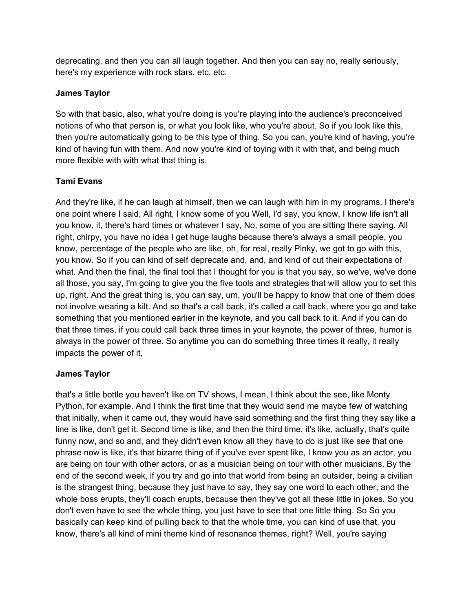deprecating, and then you can all laugh together. And then you can say no, really seriously, here's my experience with rock stars, etc, etc.

## **James Taylor**

So with that basic, also, what you're doing is you're playing into the audience's preconceived notions of who that person is, or what you look like, who you're about. So if you look like this, then you're automatically going to be this type of thing. So you can, you're kind of having, you're kind of having fun with them. And now you're kind of toying with it with that, and being much more flexible with with what that thing is.

# **Tami Evans**

And they're like, if he can laugh at himself, then we can laugh with him in my programs. I there's one point where I said, All right, I know some of you Well, I'd say, you know, I know life isn't all you know, it, there's hard times or whatever I say, No, some of you are sitting there saying, All right, chirpy, you have no idea I get huge laughs because there's always a small people, you know, percentage of the people who are like, oh, for real, really Pinky, we got to go with this, you know. So if you can kind of self deprecate and, and, and kind of cut their expectations of what. And then the final, the final tool that I thought for you is that you say, so we've, we've done all those, you say, I'm going to give you the five tools and strategies that will allow you to set this up, right. And the great thing is, you can say, um, you'll be happy to know that one of them does not involve wearing a kilt. And so that's a call back, it's called a call back, where you go and take something that you mentioned earlier in the keynote, and you call back to it. And if you can do that three times, if you could call back three times in your keynote, the power of three, humor is always in the power of three. So anytime you can do something three times it really, it really impacts the power of it,

### **James Taylor**

that's a little bottle you haven't like on TV shows, I mean, I think about the see, like Monty Python, for example. And I think the first time that they would send me maybe few of watching that initially, when it came out, they would have said something and the first thing they say like a line is like, don't get it. Second time is like, and then the third time, it's like, actually, that's quite funny now, and so and, and they didn't even know all they have to do is just like see that one phrase now is like, it's that bizarre thing of if you've ever spent like, I know you as an actor, you are being on tour with other actors, or as a musician being on tour with other musicians. By the end of the second week, if you try and go into that world from being an outsider, being a civilian is the strangest thing, because they just have to say, they say one word to each other, and the whole boss erupts, they'll coach erupts, because then they've got all these little in jokes. So you don't even have to see the whole thing, you just have to see that one little thing. So So you basically can keep kind of pulling back to that the whole time, you can kind of use that, you know, there's all kind of mini theme kind of resonance themes, right? Well, you're saying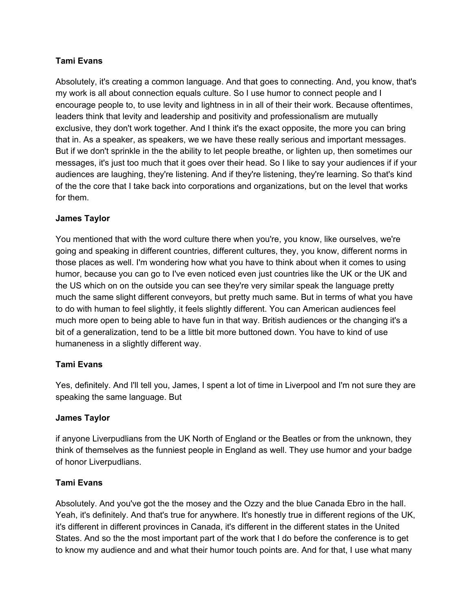# **Tami Evans**

Absolutely, it's creating a common language. And that goes to connecting. And, you know, that's my work is all about connection equals culture. So I use humor to connect people and I encourage people to, to use levity and lightness in in all of their their work. Because oftentimes, leaders think that levity and leadership and positivity and professionalism are mutually exclusive, they don't work together. And I think it's the exact opposite, the more you can bring that in. As a speaker, as speakers, we we have these really serious and important messages. But if we don't sprinkle in the the ability to let people breathe, or lighten up, then sometimes our messages, it's just too much that it goes over their head. So I like to say your audiences if if your audiences are laughing, they're listening. And if they're listening, they're learning. So that's kind of the the core that I take back into corporations and organizations, but on the level that works for them.

# **James Taylor**

You mentioned that with the word culture there when you're, you know, like ourselves, we're going and speaking in different countries, different cultures, they, you know, different norms in those places as well. I'm wondering how what you have to think about when it comes to using humor, because you can go to I've even noticed even just countries like the UK or the UK and the US which on on the outside you can see they're very similar speak the language pretty much the same slight different conveyors, but pretty much same. But in terms of what you have to do with human to feel slightly, it feels slightly different. You can American audiences feel much more open to being able to have fun in that way. British audiences or the changing it's a bit of a generalization, tend to be a little bit more buttoned down. You have to kind of use humaneness in a slightly different way.

# **Tami Evans**

Yes, definitely. And I'll tell you, James, I spent a lot of time in Liverpool and I'm not sure they are speaking the same language. But

# **James Taylor**

if anyone Liverpudlians from the UK North of England or the Beatles or from the unknown, they think of themselves as the funniest people in England as well. They use humor and your badge of honor Liverpudlians.

# **Tami Evans**

Absolutely. And you've got the the mosey and the Ozzy and the blue Canada Ebro in the hall. Yeah, it's definitely. And that's true for anywhere. It's honestly true in different regions of the UK, it's different in different provinces in Canada, it's different in the different states in the United States. And so the the most important part of the work that I do before the conference is to get to know my audience and and what their humor touch points are. And for that, I use what many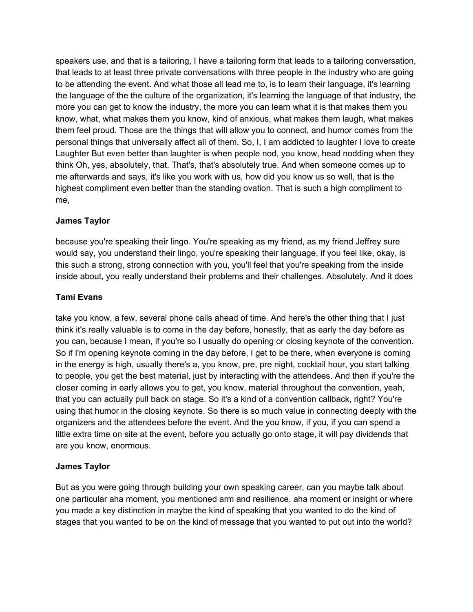speakers use, and that is a tailoring, I have a tailoring form that leads to a tailoring conversation, that leads to at least three private conversations with three people in the industry who are going to be attending the event. And what those all lead me to, is to learn their language, it's learning the language of the the culture of the organization, it's learning the language of that industry, the more you can get to know the industry, the more you can learn what it is that makes them you know, what, what makes them you know, kind of anxious, what makes them laugh, what makes them feel proud. Those are the things that will allow you to connect, and humor comes from the personal things that universally affect all of them. So, I, I am addicted to laughter I love to create Laughter But even better than laughter is when people nod, you know, head nodding when they think Oh, yes, absolutely, that. That's, that's absolutely true. And when someone comes up to me afterwards and says, it's like you work with us, how did you know us so well, that is the highest compliment even better than the standing ovation. That is such a high compliment to me,

# **James Taylor**

because you're speaking their lingo. You're speaking as my friend, as my friend Jeffrey sure would say, you understand their lingo, you're speaking their language, if you feel like, okay, is this such a strong, strong connection with you, you'll feel that you're speaking from the inside inside about, you really understand their problems and their challenges. Absolutely. And it does

# **Tami Evans**

take you know, a few, several phone calls ahead of time. And here's the other thing that I just think it's really valuable is to come in the day before, honestly, that as early the day before as you can, because I mean, if you're so I usually do opening or closing keynote of the convention. So if I'm opening keynote coming in the day before, I get to be there, when everyone is coming in the energy is high, usually there's a, you know, pre, pre night, cocktail hour, you start talking to people, you get the best material, just by interacting with the attendees. And then if you're the closer coming in early allows you to get, you know, material throughout the convention, yeah, that you can actually pull back on stage. So it's a kind of a convention callback, right? You're using that humor in the closing keynote. So there is so much value in connecting deeply with the organizers and the attendees before the event. And the you know, if you, if you can spend a little extra time on site at the event, before you actually go onto stage, it will pay dividends that are you know, enormous.

# **James Taylor**

But as you were going through building your own speaking career, can you maybe talk about one particular aha moment, you mentioned arm and resilience, aha moment or insight or where you made a key distinction in maybe the kind of speaking that you wanted to do the kind of stages that you wanted to be on the kind of message that you wanted to put out into the world?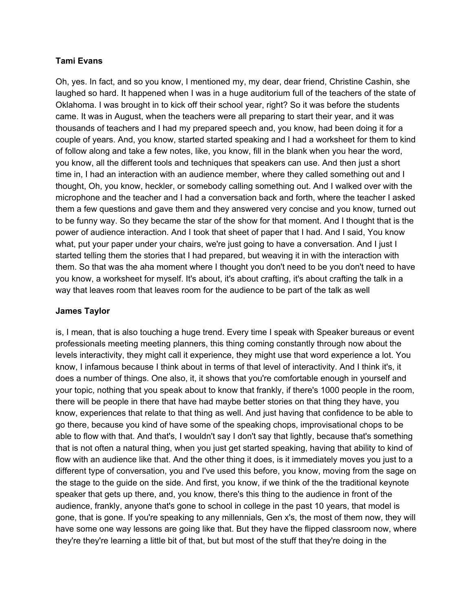## **Tami Evans**

Oh, yes. In fact, and so you know, I mentioned my, my dear, dear friend, Christine Cashin, she laughed so hard. It happened when I was in a huge auditorium full of the teachers of the state of Oklahoma. I was brought in to kick off their school year, right? So it was before the students came. It was in August, when the teachers were all preparing to start their year, and it was thousands of teachers and I had my prepared speech and, you know, had been doing it for a couple of years. And, you know, started started speaking and I had a worksheet for them to kind of follow along and take a few notes, like, you know, fill in the blank when you hear the word, you know, all the different tools and techniques that speakers can use. And then just a short time in, I had an interaction with an audience member, where they called something out and I thought, Oh, you know, heckler, or somebody calling something out. And I walked over with the microphone and the teacher and I had a conversation back and forth, where the teacher I asked them a few questions and gave them and they answered very concise and you know, turned out to be funny way. So they became the star of the show for that moment. And I thought that is the power of audience interaction. And I took that sheet of paper that I had. And I said, You know what, put your paper under your chairs, we're just going to have a conversation. And I just I started telling them the stories that I had prepared, but weaving it in with the interaction with them. So that was the aha moment where I thought you don't need to be you don't need to have you know, a worksheet for myself. It's about, it's about crafting, it's about crafting the talk in a way that leaves room that leaves room for the audience to be part of the talk as well

## **James Taylor**

is, I mean, that is also touching a huge trend. Every time I speak with Speaker bureaus or event professionals meeting meeting planners, this thing coming constantly through now about the levels interactivity, they might call it experience, they might use that word experience a lot. You know, I infamous because I think about in terms of that level of interactivity. And I think it's, it does a number of things. One also, it, it shows that you're comfortable enough in yourself and your topic, nothing that you speak about to know that frankly, if there's 1000 people in the room, there will be people in there that have had maybe better stories on that thing they have, you know, experiences that relate to that thing as well. And just having that confidence to be able to go there, because you kind of have some of the speaking chops, improvisational chops to be able to flow with that. And that's, I wouldn't say I don't say that lightly, because that's something that is not often a natural thing, when you just get started speaking, having that ability to kind of flow with an audience like that. And the other thing it does, is it immediately moves you just to a different type of conversation, you and I've used this before, you know, moving from the sage on the stage to the guide on the side. And first, you know, if we think of the the traditional keynote speaker that gets up there, and, you know, there's this thing to the audience in front of the audience, frankly, anyone that's gone to school in college in the past 10 years, that model is gone, that is gone. If you're speaking to any millennials, Gen x's, the most of them now, they will have some one way lessons are going like that. But they have the flipped classroom now, where they're they're learning a little bit of that, but but most of the stuff that they're doing in the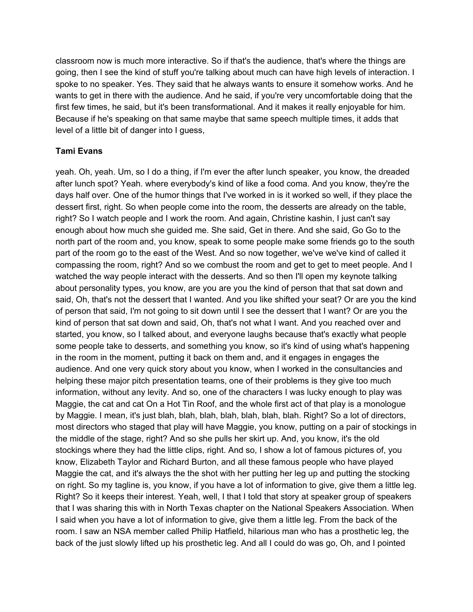classroom now is much more interactive. So if that's the audience, that's where the things are going, then I see the kind of stuff you're talking about much can have high levels of interaction. I spoke to no speaker. Yes. They said that he always wants to ensure it somehow works. And he wants to get in there with the audience. And he said, if you're very uncomfortable doing that the first few times, he said, but it's been transformational. And it makes it really enjoyable for him. Because if he's speaking on that same maybe that same speech multiple times, it adds that level of a little bit of danger into I guess,

## **Tami Evans**

yeah. Oh, yeah. Um, so I do a thing, if I'm ever the after lunch speaker, you know, the dreaded after lunch spot? Yeah. where everybody's kind of like a food coma. And you know, they're the days half over. One of the humor things that I've worked in is it worked so well, if they place the dessert first, right. So when people come into the room, the desserts are already on the table, right? So I watch people and I work the room. And again, Christine kashin, I just can't say enough about how much she guided me. She said, Get in there. And she said, Go Go to the north part of the room and, you know, speak to some people make some friends go to the south part of the room go to the east of the West. And so now together, we've we've kind of called it compassing the room, right? And so we combust the room and get to get to meet people. And I watched the way people interact with the desserts. And so then I'll open my keynote talking about personality types, you know, are you are you the kind of person that that sat down and said, Oh, that's not the dessert that I wanted. And you like shifted your seat? Or are you the kind of person that said, I'm not going to sit down until I see the dessert that I want? Or are you the kind of person that sat down and said, Oh, that's not what I want. And you reached over and started, you know, so I talked about, and everyone laughs because that's exactly what people some people take to desserts, and something you know, so it's kind of using what's happening in the room in the moment, putting it back on them and, and it engages in engages the audience. And one very quick story about you know, when I worked in the consultancies and helping these major pitch presentation teams, one of their problems is they give too much information, without any levity. And so, one of the characters I was lucky enough to play was Maggie, the cat and cat On a Hot Tin Roof, and the whole first act of that play is a monologue by Maggie. I mean, it's just blah, blah, blah, blah, blah, blah, blah. Right? So a lot of directors, most directors who staged that play will have Maggie, you know, putting on a pair of stockings in the middle of the stage, right? And so she pulls her skirt up. And, you know, it's the old stockings where they had the little clips, right. And so, I show a lot of famous pictures of, you know, Elizabeth Taylor and Richard Burton, and all these famous people who have played Maggie the cat, and it's always the the shot with her putting her leg up and putting the stocking on right. So my tagline is, you know, if you have a lot of information to give, give them a little leg. Right? So it keeps their interest. Yeah, well, I that I told that story at speaker group of speakers that I was sharing this with in North Texas chapter on the National Speakers Association. When I said when you have a lot of information to give, give them a little leg. From the back of the room. I saw an NSA member called Philip Hatfield, hilarious man who has a prosthetic leg, the back of the just slowly lifted up his prosthetic leg. And all I could do was go, Oh, and I pointed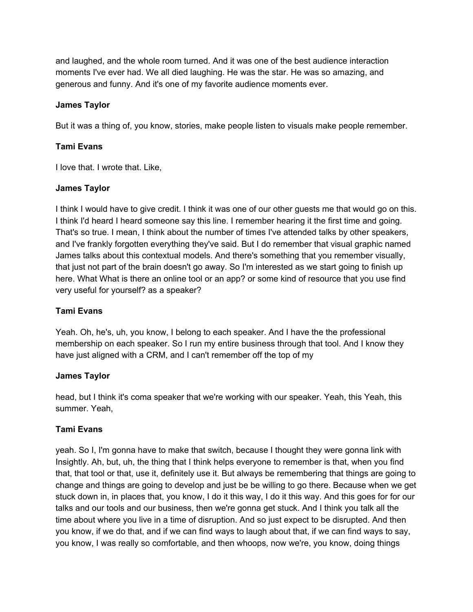and laughed, and the whole room turned. And it was one of the best audience interaction moments I've ever had. We all died laughing. He was the star. He was so amazing, and generous and funny. And it's one of my favorite audience moments ever.

## **James Taylor**

But it was a thing of, you know, stories, make people listen to visuals make people remember.

# **Tami Evans**

I love that. I wrote that. Like,

### **James Taylor**

I think I would have to give credit. I think it was one of our other guests me that would go on this. I think I'd heard I heard someone say this line. I remember hearing it the first time and going. That's so true. I mean, I think about the number of times I've attended talks by other speakers, and I've frankly forgotten everything they've said. But I do remember that visual graphic named James talks about this contextual models. And there's something that you remember visually, that just not part of the brain doesn't go away. So I'm interested as we start going to finish up here. What What is there an online tool or an app? or some kind of resource that you use find very useful for yourself? as a speaker?

## **Tami Evans**

Yeah. Oh, he's, uh, you know, I belong to each speaker. And I have the the professional membership on each speaker. So I run my entire business through that tool. And I know they have just aligned with a CRM, and I can't remember off the top of my

### **James Taylor**

head, but I think it's coma speaker that we're working with our speaker. Yeah, this Yeah, this summer. Yeah,

### **Tami Evans**

yeah. So I, I'm gonna have to make that switch, because I thought they were gonna link with Insightly. Ah, but, uh, the thing that I think helps everyone to remember is that, when you find that, that tool or that, use it, definitely use it. But always be remembering that things are going to change and things are going to develop and just be be willing to go there. Because when we get stuck down in, in places that, you know, I do it this way, I do it this way. And this goes for for our talks and our tools and our business, then we're gonna get stuck. And I think you talk all the time about where you live in a time of disruption. And so just expect to be disrupted. And then you know, if we do that, and if we can find ways to laugh about that, if we can find ways to say, you know, I was really so comfortable, and then whoops, now we're, you know, doing things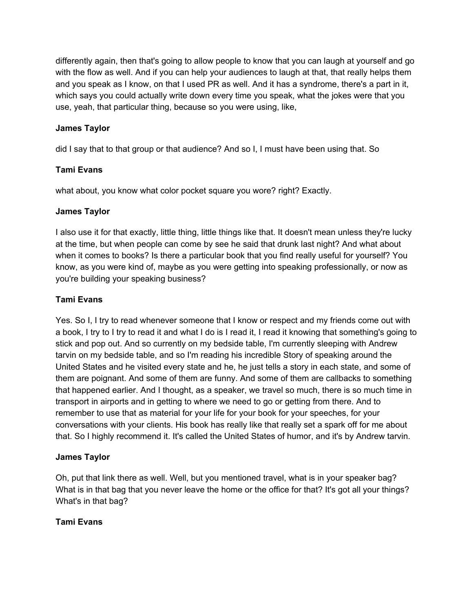differently again, then that's going to allow people to know that you can laugh at yourself and go with the flow as well. And if you can help your audiences to laugh at that, that really helps them and you speak as I know, on that I used PR as well. And it has a syndrome, there's a part in it, which says you could actually write down every time you speak, what the jokes were that you use, yeah, that particular thing, because so you were using, like,

# **James Taylor**

did I say that to that group or that audience? And so I, I must have been using that. So

## **Tami Evans**

what about, you know what color pocket square you wore? right? Exactly.

### **James Taylor**

I also use it for that exactly, little thing, little things like that. It doesn't mean unless they're lucky at the time, but when people can come by see he said that drunk last night? And what about when it comes to books? Is there a particular book that you find really useful for yourself? You know, as you were kind of, maybe as you were getting into speaking professionally, or now as you're building your speaking business?

## **Tami Evans**

Yes. So I, I try to read whenever someone that I know or respect and my friends come out with a book, I try to I try to read it and what I do is I read it, I read it knowing that something's going to stick and pop out. And so currently on my bedside table, I'm currently sleeping with Andrew tarvin on my bedside table, and so I'm reading his incredible Story of speaking around the United States and he visited every state and he, he just tells a story in each state, and some of them are poignant. And some of them are funny. And some of them are callbacks to something that happened earlier. And I thought, as a speaker, we travel so much, there is so much time in transport in airports and in getting to where we need to go or getting from there. And to remember to use that as material for your life for your book for your speeches, for your conversations with your clients. His book has really like that really set a spark off for me about that. So I highly recommend it. It's called the United States of humor, and it's by Andrew tarvin.

### **James Taylor**

Oh, put that link there as well. Well, but you mentioned travel, what is in your speaker bag? What is in that bag that you never leave the home or the office for that? It's got all your things? What's in that bag?

# **Tami Evans**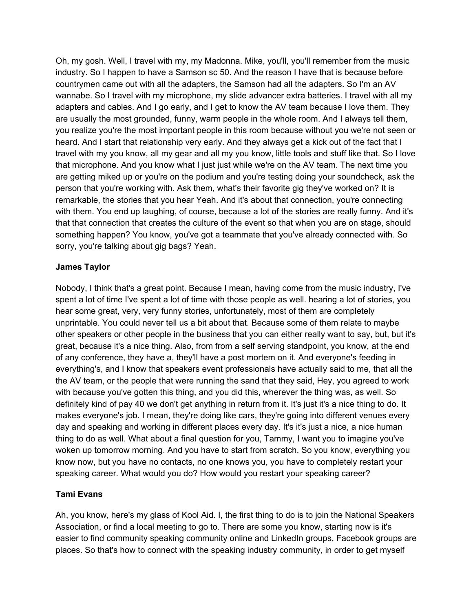Oh, my gosh. Well, I travel with my, my Madonna. Mike, you'll, you'll remember from the music industry. So I happen to have a Samson sc 50. And the reason I have that is because before countrymen came out with all the adapters, the Samson had all the adapters. So I'm an AV wannabe. So I travel with my microphone, my slide advancer extra batteries. I travel with all my adapters and cables. And I go early, and I get to know the AV team because I love them. They are usually the most grounded, funny, warm people in the whole room. And I always tell them, you realize you're the most important people in this room because without you we're not seen or heard. And I start that relationship very early. And they always get a kick out of the fact that I travel with my you know, all my gear and all my you know, little tools and stuff like that. So I love that microphone. And you know what I just just while we're on the AV team. The next time you are getting miked up or you're on the podium and you're testing doing your soundcheck, ask the person that you're working with. Ask them, what's their favorite gig they've worked on? It is remarkable, the stories that you hear Yeah. And it's about that connection, you're connecting with them. You end up laughing, of course, because a lot of the stories are really funny. And it's that that connection that creates the culture of the event so that when you are on stage, should something happen? You know, you've got a teammate that you've already connected with. So sorry, you're talking about gig bags? Yeah.

## **James Taylor**

Nobody, I think that's a great point. Because I mean, having come from the music industry, I've spent a lot of time I've spent a lot of time with those people as well. hearing a lot of stories, you hear some great, very, very funny stories, unfortunately, most of them are completely unprintable. You could never tell us a bit about that. Because some of them relate to maybe other speakers or other people in the business that you can either really want to say, but, but it's great, because it's a nice thing. Also, from from a self serving standpoint, you know, at the end of any conference, they have a, they'll have a post mortem on it. And everyone's feeding in everything's, and I know that speakers event professionals have actually said to me, that all the the AV team, or the people that were running the sand that they said, Hey, you agreed to work with because you've gotten this thing, and you did this, wherever the thing was, as well. So definitely kind of pay 40 we don't get anything in return from it. It's just it's a nice thing to do. It makes everyone's job. I mean, they're doing like cars, they're going into different venues every day and speaking and working in different places every day. It's it's just a nice, a nice human thing to do as well. What about a final question for you, Tammy, I want you to imagine you've woken up tomorrow morning. And you have to start from scratch. So you know, everything you know now, but you have no contacts, no one knows you, you have to completely restart your speaking career. What would you do? How would you restart your speaking career?

# **Tami Evans**

Ah, you know, here's my glass of Kool Aid. I, the first thing to do is to join the National Speakers Association, or find a local meeting to go to. There are some you know, starting now is it's easier to find community speaking community online and LinkedIn groups, Facebook groups are places. So that's how to connect with the speaking industry community, in order to get myself